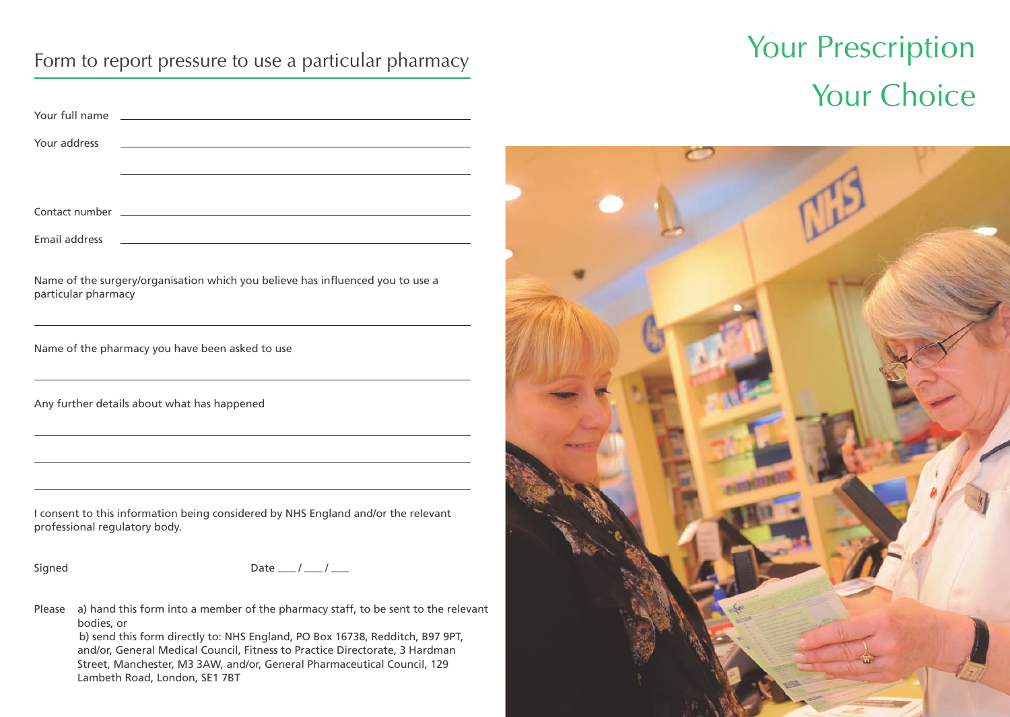| Your full name<br>and the control of the control of the control of the control of the control of the control of the control of the     |  |
|----------------------------------------------------------------------------------------------------------------------------------------|--|
| Your address<br><u> 1989 - Johann Stoff, deutscher Stoffen und der Stoffen und der Stoffen und der Stoffen und der Stoffen und der</u> |  |
|                                                                                                                                        |  |
|                                                                                                                                        |  |
| Email address<br>and the control of the control of the control of the control of the control of the control of the control of the      |  |
| Name of the surgery/organisation which you believe has influenced you to use a<br>particular pharmacy                                  |  |
| Name of the pharmacy you have been asked to use                                                                                        |  |
| Any further details about what has happened                                                                                            |  |
|                                                                                                                                        |  |
|                                                                                                                                        |  |
| I consent to this information being considered by NHS England and/or the relevant<br>professional regulatory body.                     |  |
| Date $\frac{1}{\sqrt{2}}$<br>Signed                                                                                                    |  |
| a) hand this form into a member of the pharmacy staff, to be sent to the relevant<br>Please<br>bodies, or                              |  |

b) send this form directly to: NHS England, PO Box 16738, Redditch, B97 9PT, and/or, General Medical Council, Fitness to Practice Directorate, 3 Hardman Street, Manchester, M3 3AW, and/or, General Pharmaceutical Council, 129 Lambeth Road, London, SE1 7BT

# Form to report pressure to use a particular pharmacy **Sour Prescription** Your Choice